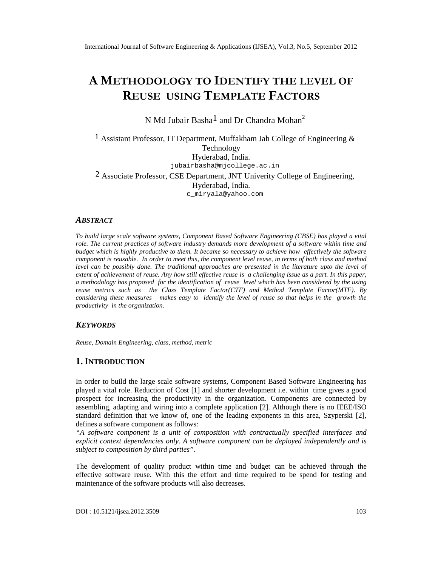# A METHODOLOGY IDTEON TIFTYHELE VEL OF REUS USINGEMPLATER CTORS

N Md Jubair BashaandDr Chandra Mohan

1 Assistant Professor, IT Department, Muffakham Jah College of Engineering & **Technology** Hyderabad, India. [jubairbasha@mjcollege.ac.in](mailto:jubairbasha@mjcollege.ac) 2 Associate Professor, CSE Department, JNT Univerity College of Engineering, Hyderabad, Indi. [c\\_miryala@yahoo.com](mailto:c_miryala@yahoo.com)

# **ABSTRACT**

To build large scale software system Samponent Based Software Engineering (CBSE) has played role. The current practices of software industry demannessedevelopment of a software within time and budget which is highly productive them It became sonecessary to achieve how effectively the software componet is reusable. In order toneet this the component evel reuse, in terms of both class and method level can be possibly doneThe traditional approaches are presented in the literatupto the level of extent of achievement of reusery how stilleffective reuse is a challenging ueas a part In this paper, a methodlogy has proposed for the identification of reuse levelwhich has been considered the using reuse metricssuch as the Class Template Factor(CTF) and dethod Template FactoMITF). By considering these measure makeseasy to identifythe level of reuseo that helps in thegrowth the productivity in the organization.

## KEYWORDS

Reuse, Domain Engineering, class ethod, metric

## 1.I NTRODUCTION

In order to build the large scale software systems, CompoBased Software Engineering has played a vital roleReduction of Cost1] and shorter developmene. within time gives a good prospect for increasing the productivity in the organization ponents are connected by assembling, adapting and wiring intaccomplete application[2]. Although there is no IEEE/ISO standard definition that we know of, one of the leading exponents in this area, Szyperski [2], defines a software component as follows:

€A software component is a unit of composition with contr**actumes examples** and explicit context dependencies only. A software component can be deployed independently and is subject to composition by third parties•.

The development of quality product within time and budgan be achieved through the effective software reuse With this the effortand time required to be spendor testing and maintenance of the software poducts will also decreases.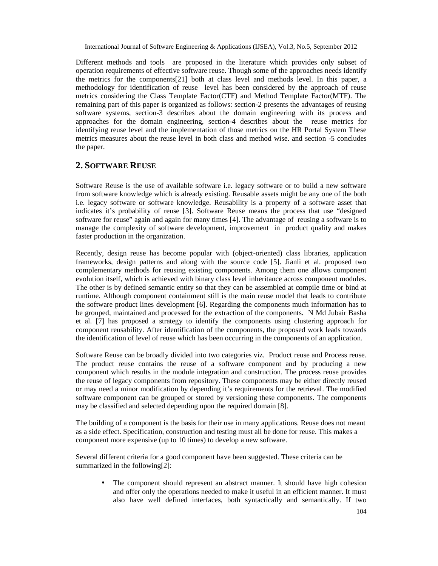Different methods and tools are proposed in the literature which provides only subset of operation requirements of effective software reuse. Though some of the approaches needs identify the metrics for the components[21] both at class level and methods level. In this paper, a methodology for identification of reuse level has been considered by the approach of reuse metrics considering the Class Template Factor(CTF) and Method Template Factor(MTF). The remaining part of this paper is organized as follows: section-2 presents the advantages of reusing software systems, section-3 describes about the domain engineering with its process and approaches for the domain engineering, section-4 describes about the reuse metrics for identifying reuse level and the implementation of those metrics on the HR Portal System These metrics measures about the reuse level in both class and method wise. and section -5 concludes the paper.

## **2. SOFTWARE REUSE**

Software Reuse is the use of available software i.e. legacy software or to build a new software from software knowledge which is already existing. Reusable assets might be any one of the both i.e. legacy software or software knowledge. Reusability is a property of a software asset that indicates it's probability of reuse [3]. Software Reuse means the process that use "designed software for reuse" again and again for many times [4]. The advantage of reusing a software is to manage the complexity of software development, improvement in product quality and makes faster production in the organization.

Recently, design reuse has become popular with (object-oriented) class libraries, application frameworks, design patterns and along with the source code [5]. Jianli et al. proposed two complementary methods for reusing existing components. Among them one allows component evolution itself, which is achieved with binary class level inheritance across component modules. The other is by defined semantic entity so that they can be assembled at compile time or bind at runtime. Although component containment still is the main reuse model that leads to contribute the software product lines development [6]. Regarding the components much information has to be grouped, maintained and processed for the extraction of the components. N Md Jubair Basha et al. [7] has proposed a strategy to identify the components using clustering approach for component reusability. After identification of the components, the proposed work leads towards the identification of level of reuse which has been occurring in the components of an application.

Software Reuse can be broadly divided into two categories viz. Product reuse and Process reuse. The product reuse contains the reuse of a software component and by producing a new component which results in the module integration and construction. The process reuse provides the reuse of legacy components from repository. These components may be either directly reused or may need a minor modification by depending it's requirements for the retrieval. The modified software component can be grouped or stored by versioning these components. The components may be classified and selected depending upon the required domain [8].

The building of a component is the basis for their use in many applications. Reuse does not meant as a side effect. Specification, construction and testing must all be done for reuse. This makes a component more expensive (up to 10 times) to develop a new software.

Several different criteria for a good component have been suggested. These criteria can be summarized in the following[2]:

• The component should represent an abstract manner. It should have high cohesion and offer only the operations needed to make it useful in an efficient manner. It must also have well defined interfaces, both syntactically and semantically. If two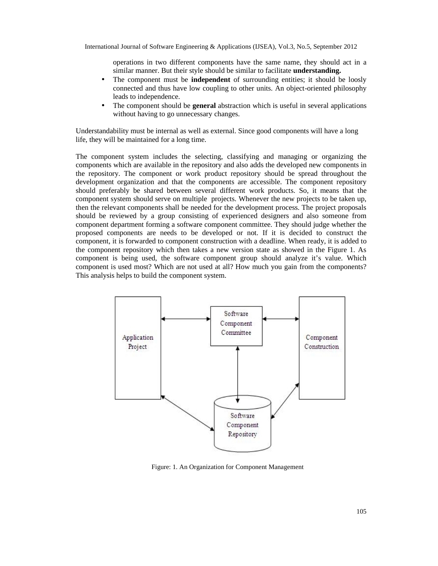operations in two different components have the same name, they should act in a similar manner. But their style should be similar to facilitate **understanding.**

- The component must be **independent** of surrounding entities; it should be loosly connected and thus have low coupling to other units. An object-oriented philosophy leads to independence.
- The component should be **general** abstraction which is useful in several applications without having to go unnecessary changes.

Understandability must be internal as well as external. Since good components will have a long life, they will be maintained for a long time.

The component system includes the selecting, classifying and managing or organizing the components which are available in the repository and also adds the developed new components in the repository. The component or work product repository should be spread throughout the development organization and that the components are accessible. The component repository should preferably be shared between several different work products. So, it means that the component system should serve on multiple projects. Whenever the new projects to be taken up, then the relevant components shall be needed for the development process. The project proposals should be reviewed by a group consisting of experienced designers and also someone from component department forming a software component committee. They should judge whether the proposed components are needs to be developed or not. If it is decided to construct the component, it is forwarded to component construction with a deadline. When ready, it is added to the component repository which then takes a new version state as showed in the Figure 1. As component is being used, the software component group should analyze it's value. Which component is used most? Which are not used at all? How much you gain from the components? This analysis helps to build the component system.



Figure: 1. An Organization for Component Management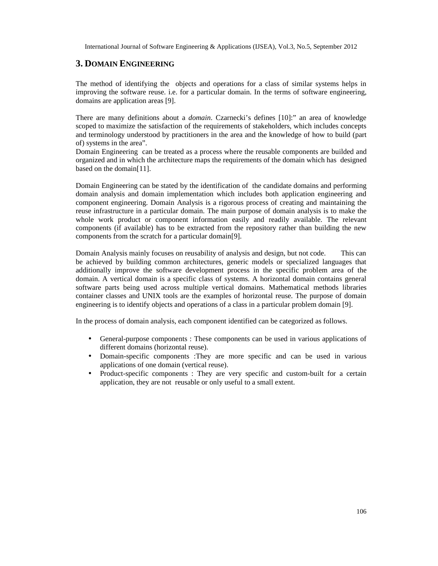# **3. DOMAIN ENGINEERING**

The method of identifying the objects and operations for a class of similar systems helps in improving the software reuse. i.e. for a particular domain. In the terms of software engineering, domains are application areas [9].

There are many definitions about a *domain*. Czarnecki's defines [10]:" an area of knowledge scoped to maximize the satisfaction of the requirements of stakeholders, which includes concepts and terminology understood by practitioners in the area and the knowledge of how to build (part of) systems in the area".

Domain Engineering can be treated as a process where the reusable components are builded and organized and in which the architecture maps the requirements of the domain which has designed based on the domain[11].

Domain Engineering can be stated by the identification of the candidate domains and performing domain analysis and domain implementation which includes both application engineering and component engineering. Domain Analysis is a rigorous process of creating and maintaining the reuse infrastructure in a particular domain. The main purpose of domain analysis is to make the whole work product or component information easily and readily available. The relevant components (if available) has to be extracted from the repository rather than building the new components from the scratch for a particular domain[9].

Domain Analysis mainly focuses on reusability of analysis and design, but not code. This can be achieved by building common architectures, generic models or specialized languages that additionally improve the software development process in the specific problem area of the domain. A vertical domain is a specific class of systems. A horizontal domain contains general software parts being used across multiple vertical domains. Mathematical methods libraries container classes and UNIX tools are the examples of horizontal reuse. The purpose of domain engineering is to identify objects and operations of a class in a particular problem domain [9].

In the process of domain analysis, each component identified can be categorized as follows.

- General-purpose components : These components can be used in various applications of different domains (horizontal reuse).
- Domain-specific components : They are more specific and can be used in various applications of one domain (vertical reuse).
- Product-specific components : They are very specific and custom-built for a certain application, they are not reusable or only useful to a small extent.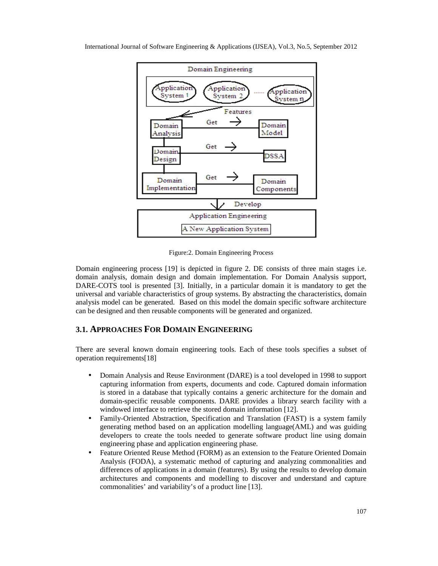

Figure:2. Domain Engineering Process

Domain engineering process [19] is depicted in figure 2. DE consists of three main stages i.e. domain analysis, domain design and domain implementation. For Domain Analysis support, DARE-COTS tool is presented [3]. Initially, in a particular domain it is mandatory to get the universal and variable characteristics of group systems. By abstracting the characteristics, domain analysis model can be generated. Based on this model the domain specific software architecture can be designed and then reusable components will be generated and organized.

## **3.1. APPROACHES FOR DOMAIN ENGINEERING**

There are several known domain engineering tools. Each of these tools specifies a subset of operation requirements[18]

- Domain Analysis and Reuse Environment (DARE) is a tool developed in 1998 to support capturing information from experts, documents and code. Captured domain information is stored in a database that typically contains a generic architecture for the domain and domain-specific reusable components. DARE provides a library search facility with a windowed interface to retrieve the stored domain information [12].
- Family-Oriented Abstraction, Specification and Translation (FAST) is a system family generating method based on an application modelling language(AML) and was guiding developers to create the tools needed to generate software product line using domain engineering phase and application engineering phase.
- Feature Oriented Reuse Method (FORM) as an extension to the Feature Oriented Domain Analysis (FODA), a systematic method of capturing and analyzing commonalities and differences of applications in a domain (features). By using the results to develop domain architectures and components and modelling to discover and understand and capture commonalities' and variability's of a product line [13].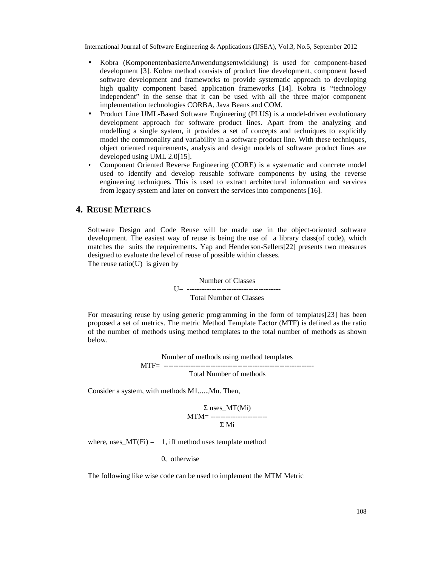- Kobra (KomponentenbasierteAnwendungsentwicklung) is used for component-based development [3]. Kobra method consists of product line development, component based software development and frameworks to provide systematic approach to developing high quality component based application frameworks [14]. Kobra is "technology independent" in the sense that it can be used with all the three major component implementation technologies CORBA, Java Beans and COM.
- Product Line UML-Based Software Engineering (PLUS) is a model-driven evolutionary development approach for software product lines. Apart from the analyzing and modelling a single system, it provides a set of concepts and techniques to explicitly model the commonality and variability in a software product line. With these techniques, object oriented requirements, analysis and design models of software product lines are developed using UML 2.0[15].
- Component Oriented Reverse Engineering (CORE) is a systematic and concrete model used to identify and develop reusable software components by using the reverse engineering techniques. This is used to extract architectural information and services from legacy system and later on convert the services into components [16].

# **4. REUSE METRICS**

Software Design and Code Reuse will be made use in the object-oriented software development. The easiest way of reuse is being the use of a library class(of code), which matches the suits the requirements. Yap and Henderson-Sellers[22] presents two measures designed to evaluate the level of reuse of possible within classes. The reuse ratio( $U$ ) is given by

> Number of Classes U= -------------------------------------- Total Number of Classes

For measuring reuse by using generic programming in the form of templates[23] has been proposed a set of metrics. The metric Method Template Factor (MTF) is defined as the ratio of the number of methods using method templates to the total number of methods as shown below.

> Number of methods using method templates MTF= -------------------------------------------------------------

Total Number of methods

Consider a system, with methods M1,....,Mn. Then,

$$
MTM = \frac{MT(Mi)}{Mi}
$$

where, uses  $MT(Fi) = 1$ , iff method uses template method

0, otherwise

The following like wise code can be used to implement the MTM Metric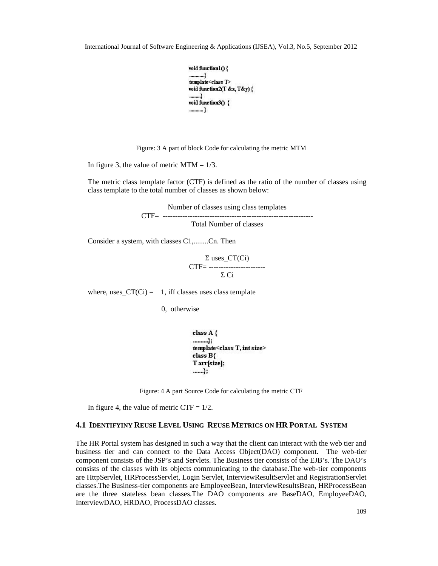```
void function1() {
...........}
template<class T>
void function2(T &x, T&y) {
\dots \dotsvoid function3() {
...........\}
```
Figure: 3 A part of block Code for calculating the metric MTM

In figure 3, the value of metric  $MTM = 1/3$ .

The metric class template factor (CTF) is defined as the ratio of the number of classes using class template to the total number of classes as shown below:

> Number of classes using class templates CTF= ------------------------------------------------------------- Total Number of classes

Consider a system, with classes C1,........Cn. Then

uses  $CT(Ci)$ CTF= ----------------------- Ci<sup>1</sup>

where, uses\_CT(Ci) = 1, iff classes uses class template

0, otherwise

```
class A {
......template<class T, int size>
class B{
Tarr[size];
... \};
```
Figure: 4 A part Source Code for calculating the metric CTF

In figure 4, the value of metric  $CTF = 1/2$ .

### **4.1 IDENTIFYINY REUSE LEVEL USING REUSE METRICS ON HR PORTAL SYSTEM**

The HR Portal system has designed in such a way that the client can interact with the web tier and business tier and can connect to the Data Access Object(DAO) component. The web-tier component consists of the JSP's and Servlets. The Business tier consists of the EJB's. The DAO's consists of the classes with its objects communicating to the database.The web-tier components are HttpServlet, HRProcessServlet, Login Servlet, InterviewResultServlet and RegistrationServlet classes.The Business-tier components are EmployeeBean, InterviewResultsBean, HRProcessBean are the three stateless bean classes.The DAO components are BaseDAO, EmployeeDAO, InterviewDAO, HRDAO, ProcessDAO classes.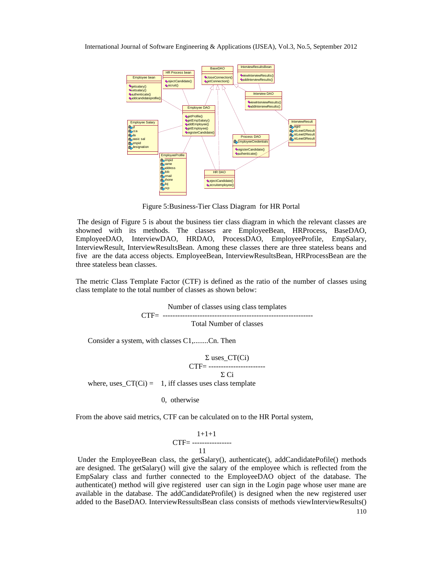

Figure 5:Business-Tier Class Diagram for HR Portal

The design of Figure 5 is about the business tier class diagram in which the relevant classes are showned with its methods. The classes are EmployeeBean, HRProcess, BaseDAO, EmployeeDAO, InterviewDAO, HRDAO, ProcessDAO, EmployeeProfile, EmpSalary, InterviewResult, InterviewResultsBean. Among these classes there are three stateless beans and five are the data access objects. EmployeeBean, InterviewResultsBean, HRProcessBean are the three stateless bean classes.

The metric Class Template Factor (CTF) is defined as the ratio of the number of classes using class template to the total number of classes as shown below:

> Number of classes using class templates CTF= ------------------------------------------------------------- Total Number of classes

Consider a system, with classes C1,........Cn. Then

 $uses_CTCi)$ CTF= ----------------------- Σ Ci

where, uses\_ $CT(Ci) = 1$ , iff classes uses class template

0, otherwise

From the above said metrics, CTF can be calculated on to the HR Portal system,

$$
CTF = \frac{1+1+1}{11}
$$

Under the EmployeeBean class, the getSalary(), authenticate(), addCandidatePofile() methods are designed. The getSalary() will give the salary of the employee which is reflected from the EmpSalary class and further connected to the EmployeeDAO object of the database. The authenticate() method will give registered user can sign in the Login page whose user mane are available in the database. The addCandidateProfile() is designed when the new registered user added to the BaseDAO. InterviewRessultsBean class consists of methods viewInterviewResults()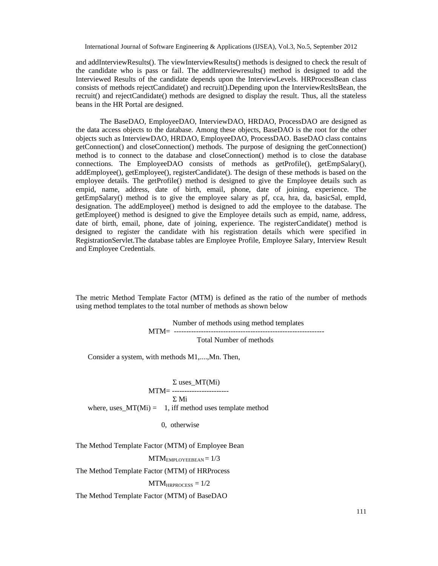and addInterviewResults(). The viewInterviewResults() methods is designed to check the result of the candidate who is pass or fail. The addInterviewresults() method is designed to add the Interviewed Results of the candidate depends upon the InterviewLevels. HRProcessBean class consists of methods rejectCandidate() and recruit().Depending upon the InterviewResltsBean, the recruit() and rejectCandidate() methods are designed to display the result. Thus, all the stateless beans in the HR Portal are designed.

The BaseDAO, EmployeeDAO, InterviewDAO, HRDAO, ProcessDAO are designed as the data access objects to the database. Among these objects, BaseDAO is the root for the other objects such as InterviewDAO, HRDAO, EmployeeDAO, ProcessDAO. BaseDAO class contains getConnection() and closeConnection() methods. The purpose of designing the getConnection() method is to connect to the database and closeConnection() method is to close the database connections. The EmployeeDAO consists of methods as getProfile(), getEmpSalary(), addEmployee(), getEmployee(), registerCandidate(). The design of these methods is based on the employee details. The getProfile() method is designed to give the Employee details such as empid, name, address, date of birth, email, phone, date of joining, experience. The getEmpSalary() method is to give the employee salary as pf, cca, hra, da, basicSal, empId, designation. The addEmployee() method is designed to add the employee to the database. The getEmployee() method is designed to give the Employee details such as empid, name, address, date of birth, email, phone, date of joining, experience. The registerCandidate() method is designed to register the candidate with his registration details which were specified in RegistrationServlet.The database tables are Employee Profile, Employee Salary, Interview Result and Employee Credentials.

The metric Method Template Factor (MTM) is defined as the ratio of the number of methods using method templates to the total number of methods as shown below

> Number of methods using method templates MTM= ------------------------------------------------------------- Total Number of methods

Consider a system, with methods M1,....,Mn. Then,

# uses  $MT(Mi)$

MTM= ----------------------- Σ Mi

where, uses\_MT( $Mi$ ) = 1, iff method uses template method

0, otherwise

The Method Template Factor (MTM) of Employee Bean

 $MTM_{EMPLOYEEBEAN} = 1/3$ 

The Method Template Factor (MTM) of HRProcess

 $MTM_{HRPROCFSS} = 1/2$ 

The Method Template Factor (MTM) of BaseDAO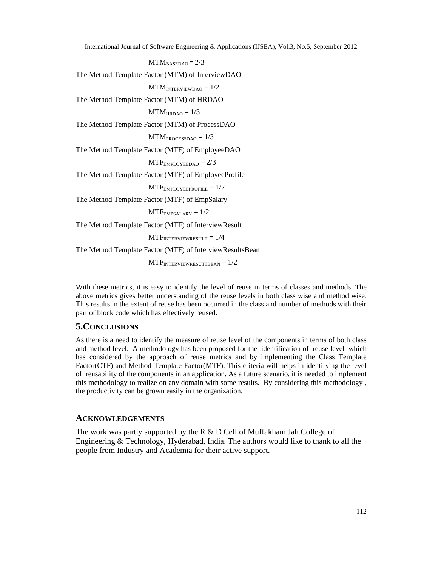$MTM_{BASFDAO} = 2/3$ 

The Method Template Factor (MTM) of InterviewDAO

 $MTM_{INTERVIEW DAO} = 1/2$ 

The Method Template Factor (MTM) of HRDAO

 $MTM_{HRDAO} = 1/3$ 

The Method Template Factor (MTM) of ProcessDAO

 $MTM_{PROCESSDAO} = 1/3$ 

The Method Template Factor (MTF) of EmployeeDAO

 $MTF_{EMPLOYEEDAO} = 2/3$ 

The Method Template Factor (MTF) of EmployeeProfile

 $MTF_{EMPLOYEEPROFILE} = 1/2$ 

The Method Template Factor (MTF) of EmpSalary

 $MTF<sub>EMPSALARY</sub> = 1/2$ 

The Method Template Factor (MTF) of InterviewResult

 $MTF<sub>INTERVIEW RESULT</sub> = 1/4$ 

The Method Template Factor (MTF) of InterviewResultsBean

 $MTF_{INTERVIEWRESUTTBEAN} = 1/2$ 

With these metrics, it is easy to identify the level of reuse in terms of classes and methods. The above metrics gives better understanding of the reuse levels in both class wise and method wise. This results in the extent of reuse has been occurred in the class and number of methods with their part of block code which has effectively reused.

### **5.CONCLUSIONS**

As there is a need to identify the measure of reuse level of the components in terms of both class and method level. A methodology has been proposed for the identification of reuse level which has considered by the approach of reuse metrics and by implementing the Class Template Factor(CTF) and Method Template Factor(MTF). This criteria will helps in identifying the level of reusability of the components in an application. As a future scenario, it is needed to implement this methodology to realize on any domain with some results. By considering this methodology , the productivity can be grown easily in the organization.

#### **ACKNOWLEDGEMENTS**

The work was partly supported by the R & D Cell of Muffakham Jah College of Engineering & Technology, Hyderabad, India. The authors would like to thank to all the people from Industry and Academia for their active support.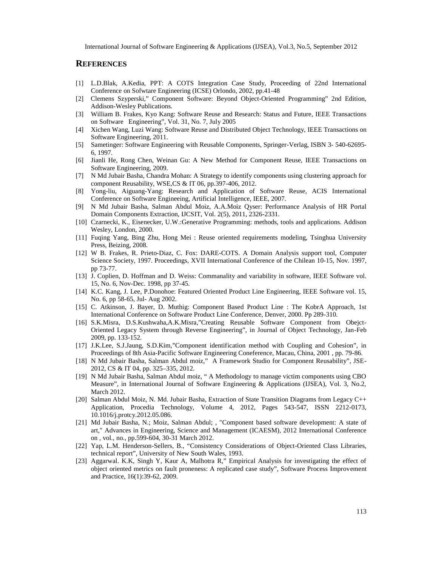#### **REFERENCES**

- [1] L.D.Blak, A.Kedia, PPT: A COTS Integration Case Study, Proceeding of 22nd International Conference on Sofwtare Engineering (ICSE) Orlondo, 2002, pp.41-48
- [2] Clemens Szyperski," Component Software: Beyond Object-Oriented Programming" 2nd Edition, Addison-Wesley Publications.
- [3] William B. Frakes, Kyo Kang: Software Reuse and Research: Status and Future, IEEE Transactions on Software Engineering", Vol. 31, No. 7, July 2005
- [4] Xichen Wang, Luzi Wang: Software Reuse and Distributed Object Technology, IEEE Transactions on Software Engineering, 2011.
- [5] Sametinger: Software Engineering with Reusable Components, Springer-Verlag, ISBN 3- 540-62695- 6, 1997.
- [6] Jianli He, Rong Chen, Weinan Gu: A New Method for Component Reuse, IEEE Transactions on Software Engineering, 2009.
- [7] N Md Jubair Basha, Chandra Mohan: A Strategy to identify components using clustering approach for component Reusability, WSE,CS & IT 06, pp.397-406, 2012.
- [8] Yong-liu, Aiguang-Yang: Research and Application of Software Reuse, ACIS International Conference on Software Engineeing, Artificial Intelligence, IEEE, 2007.
- [9] N Md Jubair Basha, Salman Abdul Moiz, A.A.Moiz Qyser: Performance Analysis of HR Portal Domain Components Extraction, IJCSIT, Vol. 2(5), 2011, 2326-2331.
- [10] Czarnecki, K., Eisenecker, U.W.:Generative Programming: methods, tools and applications. Addison Wesley, London, 2000.
- [11] Fuqing Yang, Bing Zhu, Hong Mei : Reuse oriented requirements modeling, Tsinghua University Press, Beizing, 2008.
- [12] W B. Frakes, R. Prieto-Diaz, C. Fox: DARE-COTS. A Domain Analysis support tool, Computer Science Society, 1997. Proceedings, XVII International Conference of the Chilean 10-15, Nov. 1997, pp 73-77.
- [13] J. Coplien, D. Hoffman and D. Weiss: Commanality and variability in software, IEEE Software vol. 15, No. 6, Nov-Dec. 1998, pp 37-45.
- [14] K.C. Kang, J. Lee, P.Donohoe: Featured Oriented Product Line Engineering, IEEE Software vol. 15, No. 6, pp 58-65, Jul- Aug 2002.
- [15] C. Atkinson, J. Bayer, D. Muthig: Component Based Product Line : The KobrA Approach, 1st International Conference on Software Product Line Conference, Denver, 2000. Pp 289-310.
- [16] S.K.Misra, D.S.Kushwaha,A.K.Misra,"Creating Reusable Software Component from Obejct-Oriented Legacy System through Reverse Engineering", in Journal of Object Technology, Jan-Feb 2009, pp. 133-152.
- [17] J.K.Lee, S.J.Jaung, S.D.Kim,"Component identification method with Coupling and Cohesion", in Proceedings of 8th Asia-Pacific Software Engineering Coneference, Macau, China, 2001 , pp. 79-86.
- [18] N Md Jubair Basha, Salman Abdul moiz," A Framework Studio for Component Reusability", JSE-2012, CS & IT 04, pp. 325–335, 2012.
- [19] N Md Jubair Basha, Salman Abdul moiz, " A Methodology to manage victim components using CBO Measure", in International Journal of Software Engineering & Applications (IJSEA), Vol. 3, No.2, March 2012.
- [20] Salman Abdul Moiz, N. Md. Jubair Basha, Extraction of State Transition Diagrams from Legacy C++ Application, Procedia Technology, Volume 4, 2012, Pages 543-547, ISSN 2212-0173, 10.1016/j.protcy.2012.05.086.
- [21] Md Jubair Basha, N.; Moiz, Salman Abdul; , "Component based software development: A state of art," Advances in Engineering, Science and Management (ICAESM), 2012 International Conference on , vol., no., pp.599-604, 30-31 March 2012.
- [22] Yap, L.M. Henderson-Sellers, B., "Consistency Considerations of Object-Oriented Class Libraries, technical report", University of New South Wales, 1993.
- [23] Aggarwal. K.K, Singh Y, Kaur A, Malhotra R," Empirical Analysis for investigating the effect of object oriented metrics on fault proneness: A replicated case study", Software Process Improvement and Practice, 16(1):39-62, 2009.